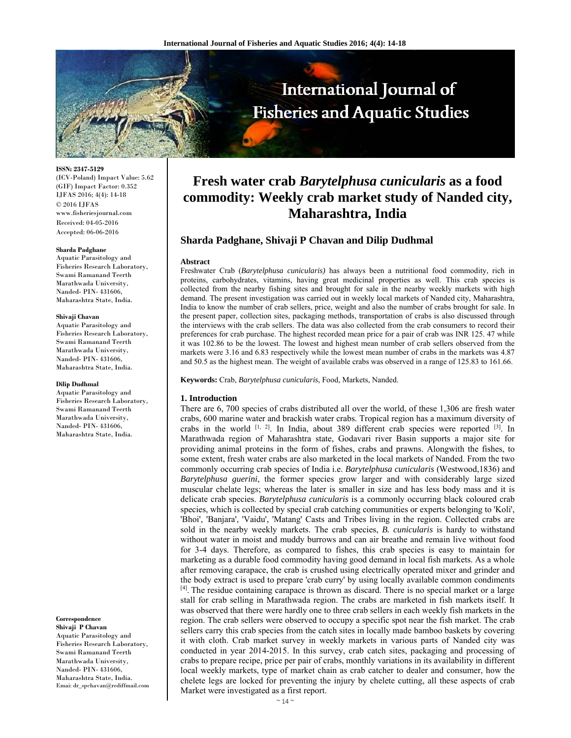

**ISSN: 2347-5129** 

(ICV-Poland) Impact Value: 5.62 (GIF) Impact Factor: 0.352 IJFAS 2016; 4(4): 14-18 © 2016 IJFAS www.fisheriesjournal.com Received: 04-05-2016 Accepted: 06-06-2016

#### **Sharda Padghane**

Aquatic Parasitology and Fisheries Research Laboratory, Swami Ramanand Teerth Marathwada University, Nanded- PIN- 431606, Maharashtra State, India.

#### **Shivaji Chavan**

Aquatic Parasitology and Fisheries Research Laboratory, Swami Ramanand Teerth Marathwada University, Nanded- PIN- 431606, Maharashtra State, India.

#### **Dilip Dudhmal**

Aquatic Parasitology and Fisheries Research Laboratory, Swami Ramanand Teerth Marathwada University, Nanded- PIN- 431606, Maharashtra State, India.

#### **Correspondence**

**Shivaji P Chavan**  Aquatic Parasitology and Fisheries Research Laboratory, Swami Ramanand Teerth Marathwada University, Nanded- PIN- 431606, Maharashtra State, India. Emai: dr\_spchavan@rediffmail.com

# **Fresh water crab** *Barytelphusa cunicularis* **as a food commodity: Weekly crab market study of Nanded city, Maharashtra, India**

# **Sharda Padghane, Shivaji P Chavan and Dilip Dudhmal**

#### **Abstract**

Freshwater Crab (*Barytelphusa cunicularis)* has always been a nutritional food commodity, rich in proteins, carbohydrates, vitamins, having great medicinal properties as well. This crab species is collected from the nearby fishing sites and brought for sale in the nearby weekly markets with high demand. The present investigation was carried out in weekly local markets of Nanded city, Maharashtra, India to know the number of crab sellers, price, weight and also the number of crabs brought for sale. In the present paper, collection sites, packaging methods, transportation of crabs is also discussed through the interviews with the crab sellers. The data was also collected from the crab consumers to record their preferences for crab purchase. The highest recorded mean price for a pair of crab was INR 125. 47 while it was 102.86 to be the lowest. The lowest and highest mean number of crab sellers observed from the markets were 3.16 and 6.83 respectively while the lowest mean number of crabs in the markets was 4.87 and 50.5 as the highest mean. The weight of available crabs was observed in a range of 125.83 to 161.66.

**Keywords:** Crab, *Barytelphusa cunicularis*, Food, Markets, Nanded.

#### **1. Introduction**

There are 6, 700 species of crabs distributed all over the world, of these 1,306 are fresh water crabs, 600 marine water and brackish water crabs. Tropical region has a maximum diversity of crabs in the world  $[1, 2]$ . In India, about 389 different crab species were reported  $[3]$ . In Marathwada region of Maharashtra state, Godavari river Basin supports a major site for providing animal proteins in the form of fishes, crabs and prawns. Alongwith the fishes, to some extent, fresh water crabs are also marketed in the local markets of Nanded. From the two commonly occurring crab species of India i.e. *Barytelphusa cunicularis* (Westwood,1836) and *Barytelphusa guerini*, the former species grow larger and with considerably large sized muscular chelate legs; whereas the later is smaller in size and has less body mass and it is delicate crab species. *Barytelphusa cunicularis* is a commonly occurring black coloured crab species, which is collected by special crab catching communities or experts belonging to 'Koli', 'Bhoi', 'Banjara', 'Vaidu', 'Matang' Casts and Tribes living in the region. Collected crabs are sold in the nearby weekly markets. The crab species, *B. cunicularis* is hardy to withstand without water in moist and muddy burrows and can air breathe and remain live without food for 3-4 days. Therefore, as compared to fishes, this crab species is easy to maintain for marketing as a durable food commodity having good demand in local fish markets. As a whole after removing carapace, the crab is crushed using electrically operated mixer and grinder and the body extract is used to prepare 'crab curry' by using locally available common condiments  $[4]$ . The residue containing carapace is thrown as discard. There is no special market or a large stall for crab selling in Marathwada region. The crabs are marketed in fish markets itself. It was observed that there were hardly one to three crab sellers in each weekly fish markets in the region. The crab sellers were observed to occupy a specific spot near the fish market. The crab sellers carry this crab species from the catch sites in locally made bamboo baskets by covering it with cloth. Crab market survey in weekly markets in various parts of Nanded city was conducted in year 2014-2015. In this survey, crab catch sites, packaging and processing of crabs to prepare recipe, price per pair of crabs, monthly variations in its availability in different local weekly markets, type of market chain as crab catcher to dealer and consumer, how the chelete legs are locked for preventing the injury by chelete cutting, all these aspects of crab Market were investigated as a first report.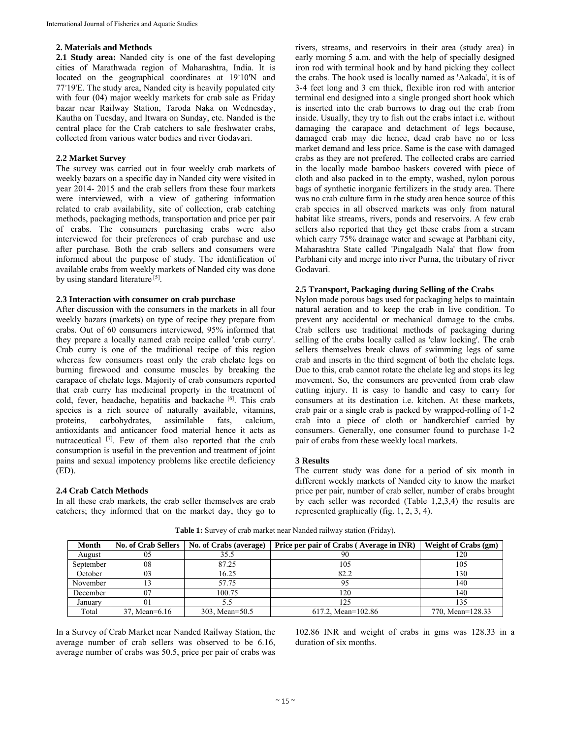## **2. Materials and Methods**

**2.1 Study area:** Nanded city is one of the fast developing cities of Marathwada region of Maharashtra, India. It is located on the geographical coordinates at 19◦ 10'N and 77◦ 19'E. The study area, Nanded city is heavily populated city with four (04) major weekly markets for crab sale as Friday bazar near Railway Station, Taroda Naka on Wednesday, Kautha on Tuesday, and Itwara on Sunday, etc. Nanded is the central place for the Crab catchers to sale freshwater crabs, collected from various water bodies and river Godavari.

## **2.2 Market Survey**

The survey was carried out in four weekly crab markets of weekly bazars on a specific day in Nanded city were visited in year 2014- 2015 and the crab sellers from these four markets were interviewed, with a view of gathering information related to crab availability, site of collection, crab catching methods, packaging methods, transportation and price per pair of crabs. The consumers purchasing crabs were also interviewed for their preferences of crab purchase and use after purchase. Both the crab sellers and consumers were informed about the purpose of study. The identification of available crabs from weekly markets of Nanded city was done by using standard literature<sup>[5]</sup>.

## **2.3 Interaction with consumer on crab purchase**

After discussion with the consumers in the markets in all four weekly bazars (markets) on type of recipe they prepare from crabs. Out of 60 consumers interviewed, 95% informed that they prepare a locally named crab recipe called 'crab curry'. Crab curry is one of the traditional recipe of this region whereas few consumers roast only the crab chelate legs on burning firewood and consume muscles by breaking the carapace of chelate legs. Majority of crab consumers reported that crab curry has medicinal property in the treatment of cold, fever, headache, hepatitis and backache [6]. This crab species is a rich source of naturally available, vitamins, proteins, carbohydrates, assimilable fats, calcium, antioxidants and anticancer food material hence it acts as nutraceutical [7]. Few of them also reported that the crab consumption is useful in the prevention and treatment of joint pains and sexual impotency problems like erectile deficiency  $(ED).$ 

# **2.4 Crab Catch Methods**

In all these crab markets, the crab seller themselves are crab catchers; they informed that on the market day, they go to rivers, streams, and reservoirs in their area (study area) in early morning 5 a.m. and with the help of specially designed iron rod with terminal hook and by hand picking they collect the crabs. The hook used is locally named as 'Aakada', it is of 3-4 feet long and 3 cm thick, flexible iron rod with anterior terminal end designed into a single pronged short hook which is inserted into the crab burrows to drag out the crab from inside. Usually, they try to fish out the crabs intact i.e. without damaging the carapace and detachment of legs because, damaged crab may die hence, dead crab have no or less market demand and less price. Same is the case with damaged crabs as they are not prefered. The collected crabs are carried in the locally made bamboo baskets covered with piece of cloth and also packed in to the empty, washed, nylon porous bags of synthetic inorganic fertilizers in the study area. There was no crab culture farm in the study area hence source of this crab species in all observed markets was only from natural habitat like streams, rivers, ponds and reservoirs. A few crab sellers also reported that they get these crabs from a stream which carry 75% drainage water and sewage at Parbhani city, Maharashtra State called 'Pingalgadh Nala' that flow from Parbhani city and merge into river Purna, the tributary of river Godavari.

# **2.5 Transport, Packaging during Selling of the Crabs**

Nylon made porous bags used for packaging helps to maintain natural aeration and to keep the crab in live condition. To prevent any accidental or mechanical damage to the crabs. Crab sellers use traditional methods of packaging during selling of the crabs locally called as 'claw locking'. The crab sellers themselves break claws of swimming legs of same crab and inserts in the third segment of both the chelate legs. Due to this, crab cannot rotate the chelate leg and stops its leg movement. So, the consumers are prevented from crab claw cutting injury. It is easy to handle and easy to carry for consumers at its destination i.e. kitchen. At these markets, crab pair or a single crab is packed by wrapped-rolling of 1-2 crab into a piece of cloth or handkerchief carried by consumers. Generally, one consumer found to purchase 1-2 pair of crabs from these weekly local markets.

# **3 Results**

The current study was done for a period of six month in different weekly markets of Nanded city to know the market price per pair, number of crab seller, number of crabs brought by each seller was recorded (Table 1,2,3,4) the results are represented graphically (fig. 1, 2, 3, 4).

| Month     | <b>No. of Crab Sellers</b> | No. of Crabs (average) | Price per pair of Crabs (Average in INR) | <b>Weight of Crabs (gm)</b> |
|-----------|----------------------------|------------------------|------------------------------------------|-----------------------------|
| August    | 05                         | 35.5                   | 90                                       | 120                         |
| September | 08                         | 87.25                  | 105                                      | 105                         |
| October   | 03                         | 16.25                  | 82.2                                     | 130                         |
| November  |                            | 57.75                  |                                          | 140                         |
| December  |                            | 100.75                 | 120                                      | 140                         |
| January   |                            |                        |                                          |                             |
| Total     | 37, Mean=6.16              | 303, Mean=50.5         | 617.2, Mean= $102.86$                    | 770, Mean=128.33            |

**Table 1:** Survey of crab market near Nanded railway station (Friday).

In a Survey of Crab Market near Nanded Railway Station, the average number of crab sellers was observed to be 6.16, average number of crabs was 50.5, price per pair of crabs was

102.86 INR and weight of crabs in gms was 128.33 in a duration of six months.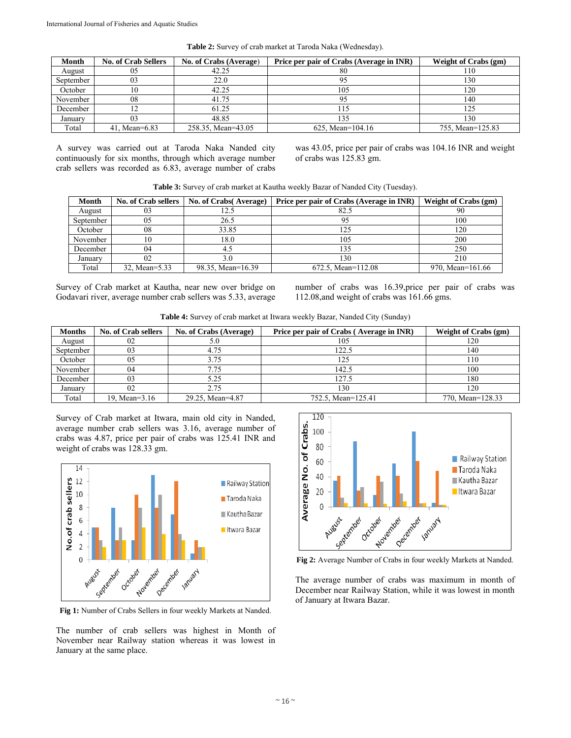| Month     | <b>No. of Crab Sellers</b> | No. of Crabs (Average) | Price per pair of Crabs (Average in INR) | Weight of Crabs (gm) |
|-----------|----------------------------|------------------------|------------------------------------------|----------------------|
| August    |                            | 42.25                  | 80                                       |                      |
| September |                            | 22.0                   |                                          | 130                  |
| October   |                            | 42.25                  | 105                                      | 120                  |
| November  | 08                         | 41.75                  |                                          | 140                  |
| December  |                            | 61.25                  |                                          |                      |
| Januarv   |                            | 48.85                  | 135                                      | 130                  |
| Total     | 41. Mean=6.83              | 258.35, Mean=43.05     | 625. Mean= $104.16$                      | 755. Mean=125.83     |

**Table 2:** Survey of crab market at Taroda Naka (Wednesday).

A survey was carried out at Taroda Naka Nanded city continuously for six months, through which average number crab sellers was recorded as 6.83, average number of crabs was 43.05, price per pair of crabs was 104.16 INR and weight of crabs was 125.83 gm.

|  | Table 3: Survey of crab market at Kautha weekly Bazar of Nanded City (Tuesday). |  |
|--|---------------------------------------------------------------------------------|--|
|  |                                                                                 |  |

| Month     | No. of Crab sellers | No. of Crabs (Average) | Price per pair of Crabs (Average in INR) | <b>Weight of Crabs (gm)</b> |
|-----------|---------------------|------------------------|------------------------------------------|-----------------------------|
| August    |                     |                        | 82.5                                     |                             |
| September | 05                  | 26.5                   |                                          | 100                         |
| October   | 08                  | 33.85                  |                                          | 120                         |
| November  | 0                   | 8.0                    | 105                                      | 200                         |
| December  | 04                  |                        |                                          | 250                         |
| January   |                     |                        | 130                                      | 210                         |
| Total     | 32, Mean=5.33       | 98.35, Mean=16.39      | 672.5, Mean= $112.08$                    | 970, Mean=161.66            |

Survey of Crab market at Kautha, near new over bridge on Godavari river, average number crab sellers was 5.33, average number of crabs was 16.39,price per pair of crabs was 112.08,and weight of crabs was 161.66 gms.

**Table 4:** Survey of crab market at Itwara weekly Bazar, Nanded City (Sunday)

| <b>Months</b> | <b>No. of Crab sellers</b> | No. of Crabs (Average) | Price per pair of Crabs (Average in INR) | Weight of Crabs (gm) |
|---------------|----------------------------|------------------------|------------------------------------------|----------------------|
| August        | 02                         | D.U                    | 105                                      | 120                  |
| September     | 03                         | 4.75                   | 22.5                                     | 140                  |
| October       | 05                         | 3.75                   | 125                                      | 110                  |
| November      | 04                         | 7.75                   | 142.5                                    | 100                  |
| December      | 03                         | 5.25                   | .27.5                                    | 180                  |
| January       | 02                         | 2.75                   | 130                                      | 120                  |
| Total         | 19. Mean=3.16              | 29.25, Mean=4.87       | 752.5, Mean=125.41                       | 770, Mean=128.33     |

Survey of Crab market at Itwara, main old city in Nanded, average number crab sellers was 3.16, average number of crabs was 4.87, price per pair of crabs was 125.41 INR and weight of crabs was 128.33 gm.



**Fig 1:** Number of Crabs Sellers in four weekly Markets at Nanded.

The number of crab sellers was highest in Month of November near Railway station whereas it was lowest in January at the same place.



**Fig 2:** Average Number of Crabs in four weekly Markets at Nanded.

The average number of crabs was maximum in month of December near Railway Station, while it was lowest in month of January at Itwara Bazar.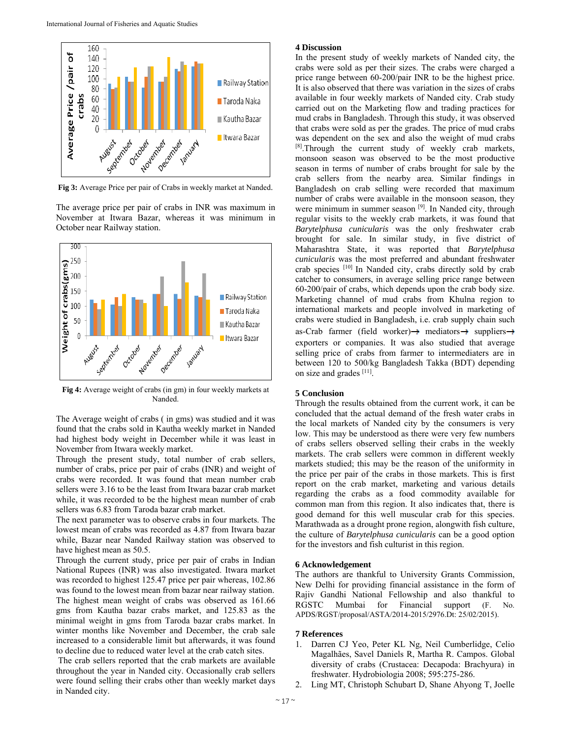

**Fig 3:** Average Price per pair of Crabs in weekly market at Nanded.

The average price per pair of crabs in INR was maximum in November at Itwara Bazar, whereas it was minimum in October near Railway station.



**Fig 4:** Average weight of crabs (in gm) in four weekly markets at Nanded.

The Average weight of crabs ( in gms) was studied and it was found that the crabs sold in Kautha weekly market in Nanded had highest body weight in December while it was least in November from Itwara weekly market.

Through the present study, total number of crab sellers, number of crabs, price per pair of crabs (INR) and weight of crabs were recorded. It was found that mean number crab sellers were 3.16 to be the least from Itwara bazar crab market while, it was recorded to be the highest mean number of crab sellers was 6.83 from Taroda bazar crab market.

The next parameter was to observe crabs in four markets. The lowest mean of crabs was recorded as 4.87 from Itwara bazar while, Bazar near Nanded Railway station was observed to have highest mean as 50.5.

Through the current study, price per pair of crabs in Indian National Rupees (INR) was also investigated. Itwara market was recorded to highest 125.47 price per pair whereas, 102.86 was found to the lowest mean from bazar near railway station. The highest mean weight of crabs was observed as 161.66 gms from Kautha bazar crabs market, and 125.83 as the minimal weight in gms from Taroda bazar crabs market. In winter months like November and December, the crab sale increased to a considerable limit but afterwards, it was found to decline due to reduced water level at the crab catch sites.

 The crab sellers reported that the crab markets are available throughout the year in Nanded city. Occasionally crab sellers were found selling their crabs other than weekly market days in Nanded city.

#### **4 Discussion**

In the present study of weekly markets of Nanded city, the crabs were sold as per their sizes. The crabs were charged a price range between 60-200/pair INR to be the highest price. It is also observed that there was variation in the sizes of crabs available in four weekly markets of Nanded city. Crab study carried out on the Marketing flow and trading practices for mud crabs in Bangladesh. Through this study, it was observed that crabs were sold as per the grades. The price of mud crabs was dependent on the sex and also the weight of mud crabs [8].Through the current study of weekly crab markets, monsoon season was observed to be the most productive season in terms of number of crabs brought for sale by the crab sellers from the nearby area. Similar findings in Bangladesh on crab selling were recorded that maximum number of crabs were available in the monsoon season, they were minimum in summer season [9]. In Nanded city, through regular visits to the weekly crab markets, it was found that *Barytelphusa cunicularis* was the only freshwater crab brought for sale. In similar study, in five district of Maharashtra State, it was reported that *Barytelphusa cunicularis* was the most preferred and abundant freshwater crab species [10] In Nanded city, crabs directly sold by crab catcher to consumers, in average selling price range between 60-200/pair of crabs, which depends upon the crab body size. Marketing channel of mud crabs from Khulna region to international markets and people involved in marketing of crabs were studied in Bangladesh, i.e. crab supply chain such as-Crab farmer (field worker) $\rightarrow$  mediators $\rightarrow$  suppliers $\rightarrow$ exporters or companies. It was also studied that average selling price of crabs from farmer to intermediaters are in between 120 to 500/kg Bangladesh Takka (BDT) depending on size and grades [11].

#### **5 Conclusion**

Through the results obtained from the current work, it can be concluded that the actual demand of the fresh water crabs in the local markets of Nanded city by the consumers is very low. This may be understood as there were very few numbers of crabs sellers observed selling their crabs in the weekly markets. The crab sellers were common in different weekly markets studied; this may be the reason of the uniformity in the price per pair of the crabs in those markets. This is first report on the crab market, marketing and various details regarding the crabs as a food commodity available for common man from this region. It also indicates that, there is good demand for this well muscular crab for this species. Marathwada as a drought prone region, alongwith fish culture, the culture of *Barytelphusa cunicularis* can be a good option for the investors and fish culturist in this region.

#### **6 Acknowledgement**

The authors are thankful to University Grants Commission, New Delhi for providing financial assistance in the form of Rajiv Gandhi National Fellowship and also thankful to RGSTC Mumbai for Financial support (F. No. APDS/RGST/proposal/ASTA/2014-2015/2976.Dt: 25/02/2015).

#### **7 References**

- 1. Darren CJ Yeo, Peter KL Ng, Neil Cumberlidge, Celio Magalhães, Savel Daniels R, Martha R. Campos. Global diversity of crabs (Crustacea: Decapoda: Brachyura) in freshwater. Hydrobiologia 2008; 595:275-286.
- 2. Ling MT, Christoph Schubart D, Shane Ahyong T, Joelle